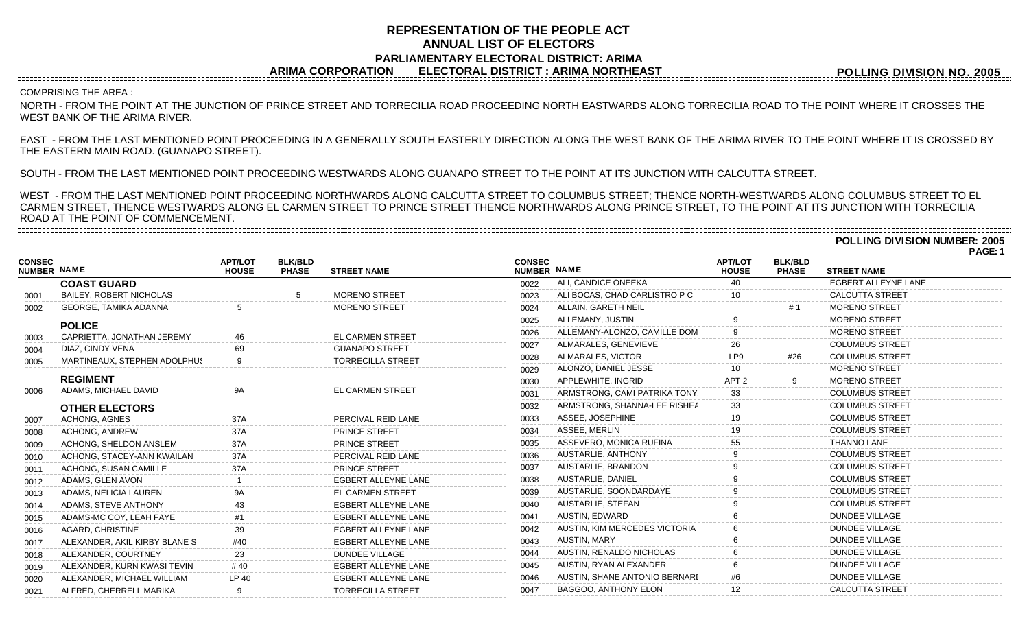## **REPRESENTATION OF THE PEOPLE ACT ANNUAL LIST OF ELECTORS PARLIAMENTARY ELECTORAL DISTRICT: ARIMA ARIMA CORPORATION ELECTORAL DISTRICT : ARIMA NORTHEAST**

**POLLING DIVISION NO. 2005**

## COMPRISING THE AREA :

NORTH - FROM THE POINT AT THE JUNCTION OF PRINCE STREET AND TORRECILIA ROAD PROCEEDING NORTH EASTWARDS ALONG TORRECILIA ROAD TO THE POINT WHERE IT CROSSES THE WEST BANK OF THE ARIMA RIVER.

EAST - FROM THE LAST MENTIONED POINT PROCEEDING IN A GENERALLY SOUTH EASTERLY DIRECTION ALONG THE WEST BANK OF THE ARIMA RIVER TO THE POINT WHERE IT IS CROSSED BY THE EASTERN MAIN ROAD. (GUANAPO STREET).

SOUTH - FROM THE LAST MENTIONED POINT PROCEEDING WESTWARDS ALONG GUANAPO STREET TO THE POINT AT ITS JUNCTION WITH CALCUTTA STREET.

WEST - FROM THE LAST MENTIONED POINT PROCEEDING NORTHWARDS ALONG CALCUTTA STREET TO COLUMBUS STREET; THENCE NORTH-WESTWARDS ALONG COLUMBUS STREET TO EL CARMEN STREET, THENCE WESTWARDS ALONG EL CARMEN STREET TO PRINCE STREET THENCE NORTHWARDS ALONG PRINCE STREET, TO THE POINT AT ITS JUNCTION WITH TORRECILIA ROAD AT THE POINT OF COMMENCEMENT. 

**POLLING DIVISION NUMBER: 2005**

**PAGE: 1**

| <b>NUMBER NAME</b>             | <b>APT/LOT</b><br><b>HOUSE</b>                                                                                                                   | <b>BLK/BLD</b><br><b>PHASE</b> | <b>STREET NAME</b>         |                                                                                                  |                               | <b>APT/LOT</b><br><b>HOUSE</b> | <b>BLK/BLD</b><br><b>PHASE</b> | <b>STREET NAME</b>     |  |
|--------------------------------|--------------------------------------------------------------------------------------------------------------------------------------------------|--------------------------------|----------------------------|--------------------------------------------------------------------------------------------------|-------------------------------|--------------------------------|--------------------------------|------------------------|--|
| <b>COAST GUARD</b>             |                                                                                                                                                  |                                |                            | 0022                                                                                             | ALI. CANDICE ONEEKA           | 40                             |                                | EGBERT ALLEYNE LANE    |  |
| <b>BAILEY, ROBERT NICHOLAS</b> |                                                                                                                                                  |                                | <b>MORENO STREET</b>       | 0023                                                                                             | ALI BOCAS, CHAD CARLISTRO P C | 10                             |                                | <b>CALCUTTA STREET</b> |  |
| GEORGE, TAMIKA ADANNA          |                                                                                                                                                  |                                | <b>MORENO STREET</b>       | 0024                                                                                             | ALLAIN, GARETH NEIL           |                                |                                | <b>MORENO STREET</b>   |  |
|                                |                                                                                                                                                  |                                |                            | 0025                                                                                             | ALLEMANY, JUSTIN              |                                |                                | <b>MORENO STREET</b>   |  |
|                                |                                                                                                                                                  |                                |                            | 0026                                                                                             | ALLEMANY-ALONZO, CAMILLE DOM  |                                |                                | <b>MORENO STREET</b>   |  |
|                                |                                                                                                                                                  |                                |                            | 0027                                                                                             | ALMARALES, GENEVIEVE          |                                |                                | <b>COLUMBUS STREET</b> |  |
|                                |                                                                                                                                                  |                                |                            | 0028                                                                                             | ALMARALES, VICTOR             | LP9                            | #26                            | <b>COLUMBUS STREET</b> |  |
|                                |                                                                                                                                                  |                                |                            | 0029                                                                                             | ALONZO, DANIEL JESSE          |                                |                                | <b>MORENO STREET</b>   |  |
| <b>REGIMENT</b>                |                                                                                                                                                  |                                |                            | 0030                                                                                             | APPLEWHITE, INGRID            | APT <sub>2</sub>               |                                | <b>MORENO STREET</b>   |  |
|                                |                                                                                                                                                  |                                |                            | 0031                                                                                             | ARMSTRONG, CAMI PATRIKA TONY. | 33                             |                                | <b>COLUMBUS STREET</b> |  |
|                                |                                                                                                                                                  |                                |                            | 0032                                                                                             | ARMSTRONG, SHANNA-LEE RISHEA  | 33                             |                                | <b>COLUMBUS STREET</b> |  |
| ACHONG, AGNES                  | 37A                                                                                                                                              |                                | PERCIVAL REID LANE         | 0033                                                                                             | ASSEE, JOSEPHINE              | 19                             |                                | <b>COLUMBUS STREET</b> |  |
| ACHONG, ANDREW                 | 37A                                                                                                                                              |                                | <b>PRINCE STREET</b>       | 0034                                                                                             | ASSEE, MERLIN                 | 19                             |                                | <b>COLUMBUS STREET</b> |  |
| ACHONG, SHELDON ANSLEM         | 37A                                                                                                                                              |                                | <b>PRINCE STREET</b>       | 0035                                                                                             | ASSEVERO, MONICA RUFINA       | 55                             |                                | <b>THANNO LANE</b>     |  |
| ACHONG, STACEY-ANN KWAILAN     | 37A                                                                                                                                              |                                | PERCIVAL REID LANE         | 0036                                                                                             | AUSTARLIE, ANTHONY            |                                |                                | <b>COLUMBUS STREET</b> |  |
| ACHONG, SUSAN CAMILLE          | 37A                                                                                                                                              |                                | PRINCE STREET              | 0037                                                                                             | AUSTARLIE, BRANDON            |                                |                                | <b>COLUMBUS STREET</b> |  |
| ADAMS, GLEN AVON               |                                                                                                                                                  |                                | <b>EGBERT ALLEYNE LANE</b> | 0038                                                                                             | AUSTARLIE, DANIEL             |                                |                                | <b>COLUMBUS STREET</b> |  |
| ADAMS, NELICIA LAUREN          |                                                                                                                                                  |                                | <b>EL CARMEN STREET</b>    | 0039                                                                                             | AUSTARLIE, SOONDARDAYE        |                                |                                | <b>COLUMBUS STREET</b> |  |
| ADAMS, STEVE ANTHONY           |                                                                                                                                                  |                                | EGBERT ALLEYNE LANE        | 0040                                                                                             | AUSTARLIE, STEFAN             |                                |                                | <b>COLUMBUS STREET</b> |  |
| ADAMS-MC COY, LEAH FAYE        |                                                                                                                                                  |                                | <b>EGBERT ALLEYNE LANE</b> | 0041                                                                                             | AUSTIN, EDWARD                |                                |                                | <b>DUNDEE VILLAGE</b>  |  |
| AGARD, CHRISTINE               | 39                                                                                                                                               |                                | EGBERT ALLEYNE LANE        | 0042                                                                                             | AUSTIN, KIM MERCEDES VICTORIA |                                |                                | <b>DUNDEE VILLAGE</b>  |  |
| ALEXANDER, AKIL KIRBY BLANE S  | #40                                                                                                                                              |                                | EGBERT ALLEYNE LANE        | 0043                                                                                             | AUSTIN, MARY                  |                                |                                | <b>DUNDEE VILLAGE</b>  |  |
| ALEXANDER, COURTNEY            | 23                                                                                                                                               |                                | <b>DUNDEE VILLAGE</b>      | 0044                                                                                             | AUSTIN, RENALDO NICHOLAS      |                                |                                | <b>DUNDEE VILLAGE</b>  |  |
| ALEXANDER, KURN KWASI TEVIN    | #40                                                                                                                                              |                                | EGBERT ALLEYNE LANE        | 0045                                                                                             | AUSTIN, RYAN ALEXANDER        |                                |                                | <b>DUNDEE VILLAGE</b>  |  |
| ALEXANDER, MICHAEL WILLIAM     | LP 40                                                                                                                                            |                                | EGBERT ALLEYNE LANE        | 0046                                                                                             | AUSTIN, SHANE ANTONIO BERNARI |                                |                                | <b>DUNDEE VILLAGE</b>  |  |
| ALFRED, CHERRELL MARIKA        | 9                                                                                                                                                |                                | <b>TORRECILLA STREET</b>   | 0047                                                                                             | BAGGOO, ANTHONY ELON          | 12                             |                                | <b>CALCUTTA STREET</b> |  |
|                                | <b>POLICE</b><br>CAPRIETTA, JONATHAN JEREMY<br>DIAZ, CINDY VENA<br>MARTINEAUX, STEPHEN ADOLPHUS<br>ADAMS, MICHAEL DAVID<br><b>OTHER ELECTORS</b> | 46<br>69<br><b>9A</b>          |                            | <b>EL CARMEN STREET</b><br><b>GUANAPO STREET</b><br><b>TORRECILLA STREET</b><br>EL CARMEN STREET |                               | <b>CONSEC</b><br>NUMBER NAME   |                                |                        |  |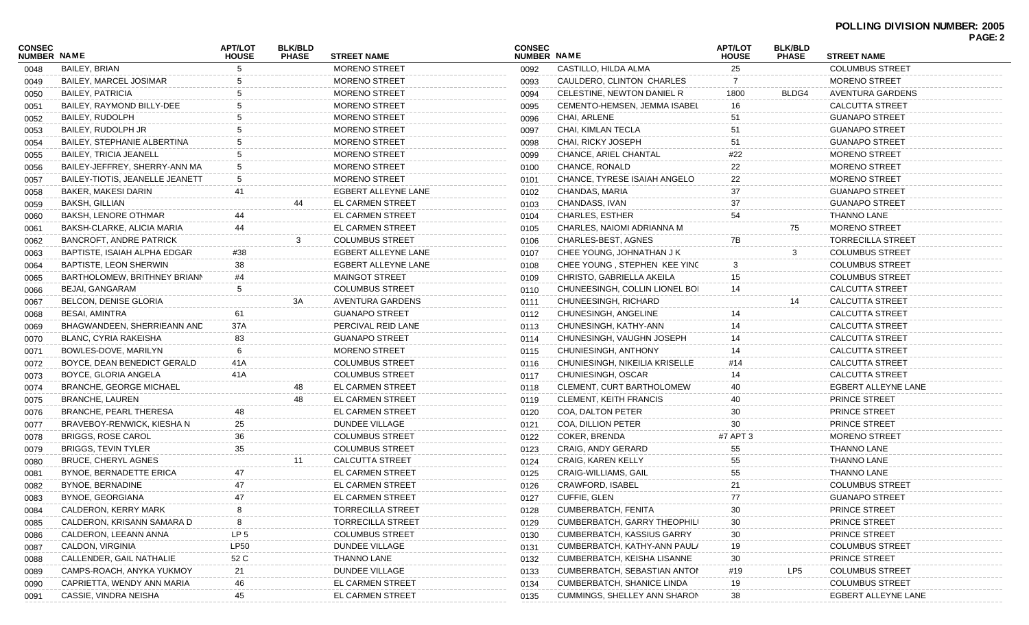| <b>CONSEC</b><br><b>NUMBER NAME</b> |                                 | <b>APT/LOT</b><br><b>HOUSE</b> | <b>BLK/BLD</b><br><b>PHASE</b> | <b>STREET NAME</b>       | <b>CONSEC</b><br><b>NUMBER NAME</b> |                                   | <b>APT/LOT</b>     | <b>BLK/BLD</b><br><b>PHASE</b> | <b>STREET NAME</b>       | <b>PAGE: 2</b> |
|-------------------------------------|---------------------------------|--------------------------------|--------------------------------|--------------------------|-------------------------------------|-----------------------------------|--------------------|--------------------------------|--------------------------|----------------|
| 0048                                | <b>BAILEY, BRIAN</b>            |                                |                                | <b>MORENO STREET</b>     | 0092                                | CASTILLO, HILDA ALMA              | <b>HOUSE</b><br>25 |                                | <b>COLUMBUS STREET</b>   |                |
| 0049                                | BAILEY, MARCEL JOSIMAR          |                                |                                | <b>MORENO STREET</b>     | 0093                                | CAULDERO, CLINTON CHARLES         | 7                  |                                | <b>MORENO STREET</b>     |                |
| 0050                                | <b>BAILEY, PATRICIA</b>         |                                |                                | <b>MORENO STREET</b>     | 0094                                | CELESTINE, NEWTON DANIEL R        | 1800               | BLDG4                          | AVENTURA GARDENS         |                |
| 0051                                | BAILEY, RAYMOND BILLY-DEE       |                                |                                | <b>MORENO STREET</b>     | 0095                                | CEMENTO-HEMSEN, JEMMA ISABEL      | 16                 |                                | <b>CALCUTTA STREET</b>   |                |
| 0052                                | BAILEY, RUDOLPH                 |                                |                                | <b>MORENO STREET</b>     | 0096                                | CHAI, ARLENE                      | 51                 |                                | <b>GUANAPO STREET</b>    |                |
| 0053                                | BAILEY, RUDOLPH JR              |                                |                                | MORENO STREET            | 0097                                | CHAI, KIMLAN TECLA                | 51                 |                                | <b>GUANAPO STREET</b>    |                |
| 0054                                | BAILEY, STEPHANIE ALBERTINA     |                                |                                | <b>MORENO STREET</b>     | 0098                                | CHAI, RICKY JOSEPH                | 51                 |                                | <b>GUANAPO STREET</b>    |                |
| 0055                                | <b>BAILEY, TRICIA JEANELL</b>   |                                |                                | MORENO STREET            | 0099                                | CHANCE, ARIEL CHANTAL             | #22                |                                | <b>MORENO STREET</b>     |                |
| 0056                                | BAILEY-JEFFREY, SHERRY-ANN MA   |                                |                                | <b>MORENO STREET</b>     | 0100                                | CHANCE, RONALD                    | 22                 |                                | <b>MORENO STREET</b>     |                |
|                                     | BAILEY-TIOTIS, JEANELLE JEANETT | 5                              |                                | <b>MORENO STREET</b>     | 0101                                | CHANCE, TYRESE ISAIAH ANGELO      | 22                 |                                | <b>MORENO STREET</b>     |                |
| 0057                                | BAKER, MAKESI DARIN             | 41                             |                                | EGBERT ALLEYNE LANE      |                                     | CHANDAS, MARIA                    | 37                 |                                | <b>GUANAPO STREET</b>    |                |
| 0058                                |                                 |                                |                                |                          | 0102                                |                                   |                    |                                |                          |                |
| 0059                                | <b>BAKSH, GILLIAN</b>           |                                |                                | EL CARMEN STREET         | 0103                                | CHANDASS, IVAN                    | 37                 |                                | <b>GUANAPO STREET</b>    |                |
| 0060                                | <b>BAKSH, LENORE OTHMAR</b>     | 44                             |                                | EL CARMEN STREET         | 0104                                | <b>CHARLES, ESTHER</b>            | 54                 |                                | <b>THANNO LANE</b>       |                |
| 0061                                | BAKSH-CLARKE, ALICIA MARIA      | 44                             |                                | EL CARMEN STREET         | 0105                                | CHARLES, NAIOMI ADRIANNA M        |                    | 75                             | <b>MORENO STREET</b>     |                |
| 0062                                | BANCROFT, ANDRE PATRICK         |                                |                                | <b>COLUMBUS STREET</b>   | 0106                                | CHARLES-BEST, AGNES               | 7В                 |                                | <b>TORRECILLA STREET</b> |                |
| 0063                                | BAPTISTE, ISAIAH ALPHA EDGAR    | #38                            |                                | EGBERT ALLEYNE LANE      | 0107                                | CHEE YOUNG, JOHNATHAN J K         |                    | 3                              | <b>COLUMBUS STREET</b>   |                |
| 0064                                | BAPTISTE, LEON SHERWIN          | 38                             |                                | EGBERT ALLEYNE LANE      | 0108                                | CHEE YOUNG, STEPHEN KEE YING      | 3                  |                                | <b>COLUMBUS STREET</b>   |                |
| 0065                                | BARTHOLOMEW, BRITHNEY BRIANN    | #4                             |                                | <b>MAINGOT STREET</b>    | 0109                                | CHRISTO, GABRIELLA AKEILA         | 15                 |                                | <b>COLUMBUS STREET</b>   |                |
| 0066                                | BEJAI, GANGARAM                 | 5                              |                                | <b>COLUMBUS STREET</b>   | 0110                                | CHUNEESINGH, COLLIN LIONEL BOI    | 14                 |                                | <b>CALCUTTA STREET</b>   |                |
| 0067                                | BELCON, DENISE GLORIA           |                                | 3A                             | AVENTURA GARDENS         | 0111                                | CHUNEESINGH, RICHARD              |                    | 14                             | <b>CALCUTTA STREET</b>   |                |
| 0068                                | BESAI, AMINTRA                  | 61                             |                                | <b>GUANAPO STREET</b>    | 0112                                | CHUNESINGH, ANGELINE              |                    |                                | <b>CALCUTTA STREET</b>   |                |
| 0069                                | BHAGWANDEEN, SHERRIEANN AND     | 37A                            |                                | PERCIVAL REID LANE       | 0113                                | CHUNESINGH, KATHY-ANN             | 14                 |                                | <b>CALCUTTA STREET</b>   |                |
| 0070                                | BLANC, CYRIA RAKEISHA           | 83                             |                                | <b>GUANAPO STREET</b>    | 0114                                | CHUNESINGH, VAUGHN JOSEPH         | 14                 |                                | <b>CALCUTTA STREET</b>   |                |
| 0071                                | BOWLES-DOVE, MARILYN            | 6                              |                                | <b>MORENO STREET</b>     | 0115                                | CHUNIESINGH, ANTHONY              | 14                 |                                | <b>CALCUTTA STREET</b>   |                |
| 0072                                | BOYCE, DEAN BENEDICT GERALD     | 41 A                           |                                | <b>COLUMBUS STREET</b>   | 0116                                | CHUNIESINGH, NIKEILIA KRISELLE    | #14                |                                | <b>CALCUTTA STREET</b>   |                |
| 0073                                | BOYCE, GLORIA ANGELA            | 41A                            |                                | <b>COLUMBUS STREET</b>   | 0117                                | CHUNIESINGH, OSCAR                | 14                 |                                | <b>CALCUTTA STREET</b>   |                |
| 0074                                | BRANCHE, GEORGE MICHAEL         |                                | 48                             | <b>EL CARMEN STREET</b>  | 0118                                | CLEMENT, CURT BARTHOLOMEW         | 40                 |                                | EGBERT ALLEYNE LANE      |                |
| 0075                                | <b>BRANCHE, LAUREN</b>          |                                | 48                             | <b>EL CARMEN STREET</b>  | 0119                                | <b>CLEMENT, KEITH FRANCIS</b>     | 40                 |                                | PRINCE STREET            |                |
| 0076                                | BRANCHE, PEARL THERESA          | 48                             |                                | <b>EL CARMEN STREET</b>  | 0120                                | COA, DALTON PETER                 | 30                 |                                | PRINCE STREET            |                |
| 0077                                | BRAVEBOY-RENWICK, KIESHA N      | 25                             |                                | DUNDEE VILLAGE           | 0121                                | COA, DILLION PETER                | 30                 |                                | <b>PRINCE STREET</b>     |                |
| 0078                                | BRIGGS, ROSE CAROL              | 36                             |                                | <b>COLUMBUS STREET</b>   | 0122                                | <b>COKER, BRENDA</b>              | #7 APT 3           |                                | <b>MORENO STREET</b>     |                |
| 0079                                | <b>BRIGGS, TEVIN TYLER</b>      | 35                             |                                | <b>COLUMBUS STREET</b>   | 0123                                | <b>CRAIG, ANDY GERARD</b>         | 55                 |                                | <b>THANNO LANE</b>       |                |
| 0080                                | BRUCE, CHERYL AGNES             |                                | 11                             | <b>CALCUTTA STREET</b>   | 0124                                | <b>CRAIG, KAREN KELLY</b>         | 55                 |                                | <b>THANNO LANE</b>       |                |
| 0081                                | BYNOE, BERNADETTE ERICA         | 47                             |                                | EL CARMEN STREET         | 0125                                | <b>CRAIG-WILLIAMS, GAIL</b>       | 55                 |                                | <b>THANNO LANE</b>       |                |
| 0082                                | BYNOE, BERNADINE                | 47                             |                                | EL CARMEN STREET         | 0126                                | <b>CRAWFORD, ISABEL</b>           | 21                 |                                | <b>COLUMBUS STREET</b>   |                |
| 0083                                | BYNOE, GEORGIANA                | 47                             |                                | EL CARMEN STREET         | 0127                                | CUFFIE, GLEN                      | 77                 |                                | <b>GUANAPO STREET</b>    |                |
|                                     | CALDERON, KERRY MARK            |                                |                                | <b>TORRECILLA STREET</b> | 0128                                | <b>CUMBERBATCH, FENITA</b>        | 30                 |                                | PRINCE STREET            |                |
| 0084                                |                                 | 8                              |                                | <b>TORRECILLA STREET</b> |                                     | CUMBERBATCH, GARRY THEOPHILI      |                    |                                | PRINCE STREET            |                |
| 0085                                | CALDERON, KRISANN SAMARA D      |                                |                                |                          | 0129                                |                                   | 30                 |                                |                          |                |
| 0086                                | CALDERON, LEEANN ANNA           | LP <sub>5</sub>                |                                | <b>COLUMBUS STREET</b>   | 0130                                | <b>CUMBERBATCH, KASSIUS GARRY</b> | 30                 |                                | <b>PRINCE STREET</b>     |                |
| 0087                                | CALDON, VIRGINIA                | <b>LP50</b>                    |                                | <b>DUNDEE VILLAGE</b>    | 0131                                | CUMBERBATCH, KATHY-ANN PAULA      | 19                 |                                | <b>COLUMBUS STREET</b>   |                |
| 0088                                | CALLENDER, GAIL NATHALIE        | 52 C                           |                                | <b>THANNO LANE</b>       | 0132                                | CUMBERBATCH, KEISHA LISANNE       | 30                 |                                | PRINCE STREET            |                |
| 0089                                | CAMPS-ROACH, ANYKA YUKMOY       | 21                             |                                | <b>DUNDEE VILLAGE</b>    | 0133                                | CUMBERBATCH, SEBASTIAN ANTON      | #19                | LP5                            | <b>COLUMBUS STREET</b>   |                |
| 0090                                | CAPRIETTA, WENDY ANN MARIA      | 46                             |                                | EL CARMEN STREET         | 0134                                | CUMBERBATCH, SHANICE LINDA        | 19                 |                                | <b>COLUMBUS STREET</b>   |                |
| 0091                                | CASSIE, VINDRA NEISHA           | 45                             |                                | EL CARMEN STREET         | 0135                                | CUMMINGS, SHELLEY ANN SHARON      | 38                 |                                | EGBERT ALLEYNE LANE      |                |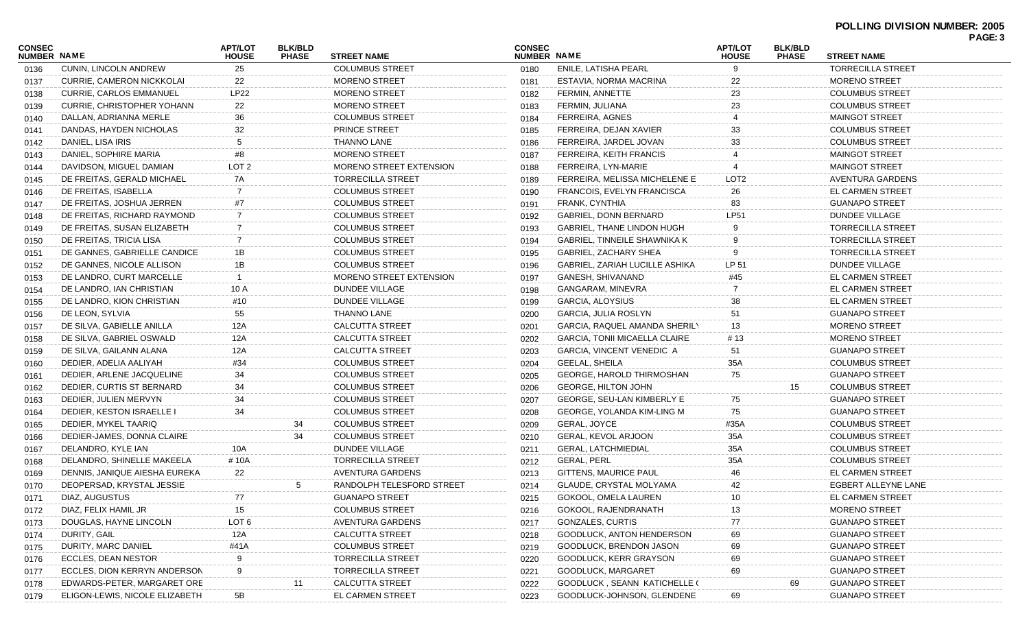| <b>CONSEC</b><br><b>NUMBER NAME</b> |                                  | <b>APT/LOT</b><br><b>HOUSE</b> | <b>BLK/BLD</b><br><b>PHASE</b> | <b>STREET NAME</b>             | <b>CONSEC</b><br><b>NUMBER NAME</b> |                                     | <b>APT/LOT</b><br><b>HOUSE</b> | <b>BLK/BLD</b><br><b>PHASE</b> | <b>STREET NAME</b>       | PAGE: 3 |
|-------------------------------------|----------------------------------|--------------------------------|--------------------------------|--------------------------------|-------------------------------------|-------------------------------------|--------------------------------|--------------------------------|--------------------------|---------|
| 0136                                | CUNIN, LINCOLN ANDREW            | 25                             |                                | <b>COLUMBUS STREET</b>         | 0180                                | ENILE, LATISHA PEARL                | 9                              |                                | <b>TORRECILLA STREET</b> |         |
| 0137                                | <b>CURRIE, CAMERON NICKKOLAI</b> | 22                             |                                | <b>MORENO STREET</b>           | 0181                                | ESTAVIA, NORMA MACRINA              | 22                             |                                | <b>MORENO STREET</b>     |         |
| 0138                                | <b>CURRIE, CARLOS EMMANUEL</b>   | <b>LP22</b>                    |                                | <b>MORENO STREET</b>           | 0182                                | FERMIN, ANNETTE                     | 23                             |                                | <b>COLUMBUS STREET</b>   |         |
| 0139                                | CURRIE, CHRISTOPHER YOHANN       | 22                             |                                | <b>MORENO STREET</b>           | 0183                                | FERMIN, JULIANA                     | 23                             |                                | <b>COLUMBUS STREET</b>   |         |
| 0140                                | DALLAN, ADRIANNA MERLE           | 36                             |                                | <b>COLUMBUS STREET</b>         | 0184                                | FERREIRA, AGNES                     |                                |                                | <b>MAINGOT STREET</b>    |         |
| 0141                                | DANDAS, HAYDEN NICHOLAS          | 32                             |                                | <b>PRINCE STREET</b>           | 0185                                | FERREIRA, DEJAN XAVIER              | 33                             |                                | <b>COLUMBUS STREET</b>   |         |
| 0142                                | DANIEL, LISA IRIS                | 5                              |                                | THANNO LANE                    | 0186                                | FERREIRA, JARDEL JOVAN              | 33                             |                                | <b>COLUMBUS STREET</b>   |         |
| 0143                                | DANIEL, SOPHIRE MARIA            | #8                             |                                | <b>MORENO STREET</b>           | 0187                                | FERREIRA, KEITH FRANCIS             |                                |                                | <b>MAINGOT STREET</b>    |         |
| 0144                                | DAVIDSON, MIGUEL DAMIAN          | LOT <sub>2</sub>               |                                | <b>MORENO STREET EXTENSION</b> | 0188                                | FERREIRA, LYN-MARIE                 |                                |                                | <b>MAINGOT STREET</b>    |         |
| 0145                                | DE FREITAS, GERALD MICHAEL       | 7A                             |                                | TORRECILLA STREET              | 0189                                | FERREIRA, MELISSA MICHELENE E       | LOT <sub>2</sub>               |                                | AVENTURA GARDENS         |         |
| 0146                                | DE FREITAS, ISABELLA             | 7                              |                                | <b>COLUMBUS STREET</b>         | 0190                                | FRANCOIS, EVELYN FRANCISCA          | 26                             |                                | EL CARMEN STREET         |         |
| 0147                                | DE FREITAS, JOSHUA JERREN        | #7                             |                                | <b>COLUMBUS STREET</b>         | 0191                                | FRANK, CYNTHIA                      | 83                             |                                | <b>GUANAPO STREET</b>    |         |
| 0148                                | DE FREITAS, RICHARD RAYMOND      | 7                              |                                | <b>COLUMBUS STREET</b>         | 0192                                | GABRIEL, DONN BERNARD               | <b>LP51</b>                    |                                | DUNDEE VILLAGE           |         |
| 0149                                | DE FREITAS, SUSAN ELIZABETH      | 7                              |                                | <b>COLUMBUS STREET</b>         | 0193                                | GABRIEL, THANE LINDON HUGH          |                                |                                | <b>TORRECILLA STREET</b> |         |
| 0150                                | DE FREITAS, TRICIA LISA          | 7                              |                                | <b>COLUMBUS STREET</b>         | 0194                                | <b>GABRIEL, TINNEILE SHAWNIKA K</b> |                                |                                | <b>TORRECILLA STREET</b> |         |
| 0151                                | DE GANNES, GABRIELLE CANDICE     | 1B                             |                                | <b>COLUMBUS STREET</b>         | 0195                                | GABRIEL, ZACHARY SHEA               | 9                              |                                | <b>TORRECILLA STREET</b> |         |
| 0152                                | DE GANNES, NICOLE ALLISON        | 1B                             |                                | <b>COLUMBUS STREET</b>         | 0196                                | GABRIEL, ZARIAH LUCILLE ASHIKA      | LP 51                          |                                | DUNDEE VILLAGE           |         |
| 0153                                | DE LANDRO, CURT MARCELLE         | -1                             |                                | <b>MORENO STREET EXTENSION</b> | 0197                                | GANESH, SHIVANAND                   | #45                            |                                | EL CARMEN STREET         |         |
| 0154                                | DE LANDRO, IAN CHRISTIAN         | 10 A                           |                                | DUNDEE VILLAGE                 | 0198                                | GANGARAM, MINEVRA                   |                                |                                | <b>EL CARMEN STREET</b>  |         |
| 0155                                | DE LANDRO, KION CHRISTIAN        | #10                            |                                | DUNDEE VILLAGE                 | 0199                                | GARCIA, ALOYSIUS                    | 38                             |                                | EL CARMEN STREET         |         |
| 0156                                | DE LEON, SYLVIA                  | 55                             |                                | THANNO LANE                    | 0200                                | GARCIA, JULIA ROSLYN                | 51                             |                                | <b>GUANAPO STREET</b>    |         |
| 0157                                | DE SILVA, GABIELLE ANILLA        | 12A                            |                                | <b>CALCUTTA STREET</b>         | 0201                                | GARCIA, RAQUEL AMANDA SHERILY       | 13                             |                                | <b>MORENO STREET</b>     |         |
| 0158                                | DE SILVA, GABRIEL OSWALD         | 12A                            |                                | <b>CALCUTTA STREET</b>         | 0202                                | GARCIA, TONII MICAELLA CLAIRE       | # 13                           |                                | <b>MORENO STREET</b>     |         |
| 0159                                | DE SILVA, GAILANN ALANA          | 12A                            |                                | <b>CALCUTTA STREET</b>         | 0203                                | <b>GARCIA, VINCENT VENEDIC A</b>    | 51                             |                                | <b>GUANAPO STREET</b>    |         |
| 0160                                | DEDIER, ADELIA AALIYAH           | #34                            |                                | <b>COLUMBUS STREET</b>         | 0204                                | <b>GEELAL, SHEILA</b>               | 35A                            |                                | <b>COLUMBUS STREET</b>   |         |
| 0161                                | DEDIER, ARLENE JACQUELINE        | 34                             |                                | <b>COLUMBUS STREET</b>         | 0205                                | <b>GEORGE, HAROLD THIRMOSHAN</b>    | 75                             |                                | <b>GUANAPO STREET</b>    |         |
| 0162                                | DEDIER, CURTIS ST BERNARD        | 34                             |                                | <b>COLUMBUS STREET</b>         | 0206                                | <b>GEORGE, HILTON JOHN</b>          |                                | 15                             | <b>COLUMBUS STREET</b>   |         |
| 0163                                | DEDIER, JULIEN MERVYN            | 34                             |                                | <b>COLUMBUS STREET</b>         | 0207                                | <b>GEORGE, SEU-LAN KIMBERLY E</b>   | 75                             |                                | <b>GUANAPO STREET</b>    |         |
| 0164                                | DEDIER, KESTON ISRAELLE I        | 34                             |                                | <b>COLUMBUS STREET</b>         | 0208                                | GEORGE, YOLANDA KIM-LING M          | 75                             |                                | <b>GUANAPO STREET</b>    |         |
| 0165                                | DEDIER, MYKEL TAARIQ             |                                | 34                             | <b>COLUMBUS STREET</b>         | 0209                                | GERAL, JOYCE                        | #35A                           |                                | <b>COLUMBUS STREET</b>   |         |
| 0166                                | DEDIER-JAMES, DONNA CLAIRE       |                                | 34                             | <b>COLUMBUS STREET</b>         | 0210                                | GERAL, KEVOL ARJOON                 | 35A                            |                                | <b>COLUMBUS STREET</b>   |         |
| 0167                                | DELANDRO, KYLE IAN               | 10A                            |                                | DUNDEE VILLAGE                 | 0211                                | <b>GERAL, LATCHMIEDIAL</b>          | 35A                            |                                | <b>COLUMBUS STREET</b>   |         |
| 0168                                | DELANDRO, SHINELLE MAKEELA       | #10A                           |                                | <b>TORRECILLA STREET</b>       | 0212                                | <b>GERAL, PERL</b>                  | 35A                            |                                | <b>COLUMBUS STREET</b>   |         |
| 0169                                | DENNIS, JANIQUE AIESHA EUREKA    | 22                             |                                | AVENTURA GARDENS               | 0213                                | <b>GITTENS, MAURICE PAUL</b>        |                                |                                | EL CARMEN STREET         |         |
| 0170                                | DEOPERSAD, KRYSTAL JESSIE        |                                | 5                              | RANDOLPH TELESFORD STREET      | 0214                                | GLAUDE, CRYSTAL MOLYAMA             | 42                             |                                | EGBERT ALLEYNE LANE      |         |
| 0171                                | DIAZ, AUGUSTUS                   | 77                             |                                | <b>GUANAPO STREET</b>          | 0215                                | GOKOOL, OMELA LAUREN                | 10                             |                                | EL CARMEN STREET         |         |
| 0172                                | DIAZ, FELIX HAMIL JR             | 15                             |                                | <b>COLUMBUS STREET</b>         | 0216                                | GOKOOL, RAJENDRANATH                | 13                             |                                | <b>MORENO STREET</b>     |         |
| 0173                                | DOUGLAS, HAYNE LINCOLN           | LOT <sub>6</sub>               |                                | <b>AVENTURA GARDENS</b>        | 0217                                | <b>GONZALES, CURTIS</b>             | 77                             |                                | <b>GUANAPO STREET</b>    |         |
|                                     | DURITY, GAIL                     | 12A                            |                                | <b>CALCUTTA STREET</b>         |                                     | GOODLUCK, ANTON HENDERSON           | 69                             |                                | <b>GUANAPO STREET</b>    |         |
| 0174                                | DURITY, MARC DANIEL              | #41A                           |                                | <b>COLUMBUS STREET</b>         | 0218                                | GOODLUCK, BRENDON JASON             | 69                             |                                | <b>GUANAPO STREET</b>    |         |
| 0175                                | ECCLES, DEAN NESTOR              | 9                              |                                | <b>TORRECILLA STREET</b>       | 0219                                | GOODLUCK, KERR GRAYSON              | 69                             |                                | <b>GUANAPO STREET</b>    |         |
| 0176                                | ECCLES, DION KERRYN ANDERSON     | 9                              |                                | <b>TORRECILLA STREET</b>       | 0220<br>0221                        | GOODLUCK, MARGARET                  | 69                             |                                | <b>GUANAPO STREET</b>    |         |
| 0177                                | EDWARDS-PETER, MARGARET ORE      |                                |                                | <b>CALCUTTA STREET</b>         |                                     | GOODLUCK, SEANN KATICHELLE (        |                                |                                | <b>GUANAPO STREET</b>    |         |
| 0178                                | ELIGON-LEWIS, NICOLE ELIZABETH   | 5B                             |                                | EL CARMEN STREET               | 0222                                | GOODLUCK-JOHNSON, GLENDENE          | 69                             | 69                             | <b>GUANAPO STREET</b>    |         |
| 0179                                |                                  |                                |                                |                                | 0223                                |                                     |                                |                                |                          |         |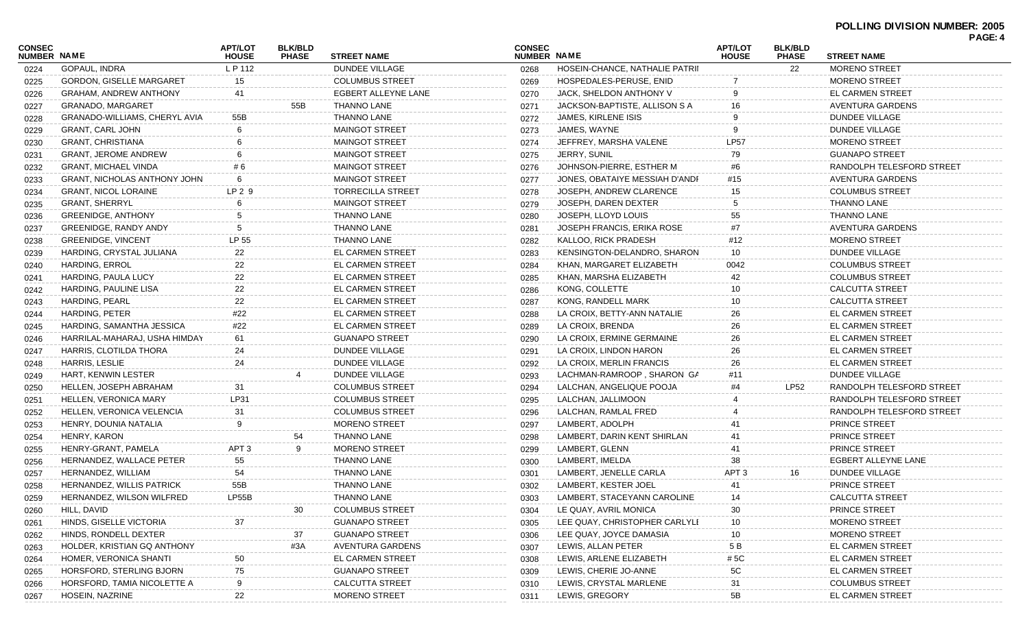## **POLLING DIVISION NUMBER: 2005 PAGE: 4**

| CONSEC             |                                     | <b>APT/LOT</b>   | <b>BLK/BLD</b> |                          | <b>CONSEC</b> |                                | <b>APT/LOT</b>   | <b>BLK/BLD</b> |                           | FAVE. 4 |
|--------------------|-------------------------------------|------------------|----------------|--------------------------|---------------|--------------------------------|------------------|----------------|---------------------------|---------|
| <b>NUMBER NAME</b> |                                     | <b>HOUSE</b>     | <b>PHASE</b>   | <b>STREET NAME</b>       | NUMBER NAME   |                                | <b>HOUSE</b>     | <b>PHASE</b>   | <b>STREET NAME</b>        |         |
| 0224               | <b>GOPAUL, INDRA</b>                | L P 112          |                | DUNDEE VILLAGE           | 0268          | HOSEIN-CHANCE, NATHALIE PATRII |                  | 22             | <b>MORENO STREET</b>      |         |
| 0225               | <b>GORDON, GISELLE MARGARET</b>     | 15               |                | <b>COLUMBUS STREET</b>   | 0269          | HOSPEDALES-PERUSE, ENID        |                  |                | <b>MORENO STREET</b>      |         |
| 0226               | <b>GRAHAM, ANDREW ANTHONY</b>       | 41               |                | EGBERT ALLEYNE LANE      | 0270          | JACK, SHELDON ANTHONY V        |                  |                | EL CARMEN STREET          |         |
| 0227               | GRANADO, MARGARET                   |                  | 55B            | THANNO LANE              | 0271          | JACKSON-BAPTISTE, ALLISON S A  |                  |                | AVENTURA GARDENS          |         |
| 0228               | GRANADO-WILLIAMS, CHERYL AVIA       | 55B              |                | THANNO LANE              | 0272          | JAMES, KIRLENE ISIS            |                  |                | <b>DUNDEE VILLAGE</b>     |         |
| 0229               | <b>GRANT, CARL JOHN</b>             |                  |                | <b>MAINGOT STREET</b>    | 0273          | JAMES, WAYNE                   |                  |                | <b>DUNDEE VILLAGE</b>     |         |
| 0230               | <b>GRANT, CHRISTIANA</b>            |                  |                | <b>MAINGOT STREET</b>    | 0274          | JEFFREY, MARSHA VALENE         | <b>LP57</b>      |                | <b>MORENO STREET</b>      |         |
| 0231               | <b>GRANT, JEROME ANDREW</b>         |                  |                | <b>MAINGOT STREET</b>    | 0275          | JERRY, SUNIL                   | 79               |                | <b>GUANAPO STREET</b>     |         |
| 0232               | <b>GRANT, MICHAEL VINDA</b>         | #6               |                | <b>MAINGOT STREET</b>    | 0276          | JOHNSON-PIERRE, ESTHER M       | #6               |                | RANDOLPH TELESFORD STREET |         |
| 0233               | <b>GRANT, NICHOLAS ANTHONY JOHN</b> | 6                |                | <b>MAINGOT STREET</b>    | 0277          | JONES, OBATAIYE MESSIAH D'ANDF | #15              |                | AVENTURA GARDENS          |         |
| 0234               | <b>GRANT, NICOL LORAINE</b>         | $LP2$ 9          |                | <b>TORRECILLA STREET</b> | 0278          | JOSEPH, ANDREW CLARENCE        | 15               |                | <b>COLUMBUS STREET</b>    |         |
| 0235               | <b>GRANT, SHERRYL</b>               |                  |                | <b>MAINGOT STREET</b>    | 0279          | JOSEPH, DAREN DEXTER           |                  |                | <b>THANNO LANE</b>        |         |
| 0236               | <b>GREENIDGE, ANTHONY</b>           |                  |                | THANNO LANE              | 0280          | JOSEPH, LLOYD LOUIS            | 55               |                | <b>THANNO LANE</b>        |         |
| 0237               | GREENIDGE, RANDY ANDY               |                  |                | THANNO LANE              | 0281          | JOSEPH FRANCIS, ERIKA ROSE     | #7               |                | AVENTURA GARDENS          |         |
| 0238               | <b>GREENIDGE, VINCENT</b>           | LP 55            |                | THANNO LANE              | 0282          | KALLOO, RICK PRADESH           | #12              |                | <b>MORENO STREET</b>      |         |
| 0239               | HARDING, CRYSTAL JULIANA            | 22               |                | EL CARMEN STREET         | 0283          | KENSINGTON-DELANDRO, SHARON    | 10               |                | DUNDEE VILLAGE            |         |
| 0240               | HARDING, ERROL                      | 22               |                | EL CARMEN STREET         | 0284          | KHAN, MARGARET ELIZABETH       | 0042             |                | <b>COLUMBUS STREET</b>    |         |
| 0241               | HARDING, PAULA LUCY                 | 22               |                | EL CARMEN STREET         | 0285          | KHAN, MARSHA ELIZABETH         | 42               |                | <b>COLUMBUS STREET</b>    |         |
| 0242               | HARDING, PAULINE LISA               | 22               |                | EL CARMEN STREET         | 0286          | KONG, COLLETTE                 | 10               |                | <b>CALCUTTA STREET</b>    |         |
| 0243               | HARDING, PEARL                      | 22               |                | EL CARMEN STREET         | 0287          | KONG, RANDELL MARK             | 10               |                | <b>CALCUTTA STREET</b>    |         |
| 0244               | HARDING, PETER                      | #22              |                | <b>EL CARMEN STREET</b>  | 0288          | LA CROIX, BETTY-ANN NATALIE    | 26               |                | <b>EL CARMEN STREET</b>   |         |
| 0245               | HARDING, SAMANTHA JESSICA           | #22              |                | EL CARMEN STREET         | 0289          | LA CROIX, BRENDA               | 26               |                | EL CARMEN STREET          |         |
| 0246               | HARRILAL-MAHARAJ, USHA HIMDAY       | 61               |                | <b>GUANAPO STREET</b>    | 0290          | LA CROIX, ERMINE GERMAINE      | 26               |                | EL CARMEN STREET          |         |
| 0247               | HARRIS, CLOTILDA THORA              | 24               |                | DUNDEE VILLAGE           | 0291          | LA CROIX, LINDON HARON         | 26               |                | <b>EL CARMEN STREET</b>   |         |
| 0248               | HARRIS, LESLIE                      | 24               |                | DUNDEE VILLAGE           | 0292          | LA CROIX, MERLIN FRANCIS       | 26               |                | <b>EL CARMEN STREET</b>   |         |
| 0249               | HART, KENWIN LESTER                 |                  |                | <b>DUNDEE VILLAGE</b>    | 0293          | LACHMAN-RAMROOP, SHARON GA     | #11              |                | DUNDEE VILLAGE            |         |
| 0250               | HELLEN, JOSEPH ABRAHAM              | 31               |                | <b>COLUMBUS STREET</b>   | 0294          | LALCHAN, ANGELIQUE POOJA       |                  | LP52           | RANDOLPH TELESFORD STREET |         |
| 0251               | HELLEN, VERONICA MARY               | LP31             |                | <b>COLUMBUS STREET</b>   | 0295          | LALCHAN, JALLIMOON             |                  |                | RANDOLPH TELESFORD STREET |         |
| 0252               | HELLEN, VERONICA VELENCIA           | 31               |                | <b>COLUMBUS STREET</b>   | 0296          | LALCHAN, RAMLAL FRED           |                  |                | RANDOLPH TELESFORD STREET |         |
| 0253               | HENRY, DOUNIA NATALIA               | 9                |                | <b>MORENO STREET</b>     | 0297          | LAMBERT, ADOLPH                |                  |                | PRINCE STREET             |         |
| 0254               | HENRY, KARON                        |                  | 54             | THANNO LANE              | 0298          | LAMBERT, DARIN KENT SHIRLAN    |                  |                | PRINCE STREET             |         |
| 0255               | HENRY-GRANT, PAMELA                 | APT <sub>3</sub> |                | <b>MORENO STREET</b>     | 0299          | LAMBERT, GLENN                 | 41               |                | PRINCE STREET             |         |
| 0256               | HERNANDEZ, WALLACE PETER            | 55               |                | <b>THANNO LANE</b>       | 0300          | LAMBERT, IMELDA                | 38               |                | EGBERT ALLEYNE LANE       |         |
| 0257               | HERNANDEZ, WILLIAM                  | 54               |                | THANNO LANE              | 0301          | LAMBERT, JENELLE CARLA         | APT <sub>3</sub> | 16             | <b>DUNDEE VILLAGE</b>     |         |
| 0258               | <b>HERNANDEZ, WILLIS PATRICK</b>    | 55B              |                | THANNO LANE              | 0302          | LAMBERT, KESTER JOEL           | 41               |                | PRINCE STREET             |         |
| 0259               | HERNANDEZ, WILSON WILFRED           | LP55B            |                | <b>THANNO LANE</b>       | 0303          | LAMBERT, STACEYANN CAROLINE    |                  |                | CALCUTTA STREET           |         |
| 0260               | HILL, DAVID                         |                  | 30             | <b>COLUMBUS STREET</b>   | 0304          | LE QUAY, AVRIL MONICA          | 30               |                | PRINCE STREET             |         |
| 0261               | HINDS, GISELLE VICTORIA             | 37               |                | <b>GUANAPO STREET</b>    | 0305          | LEE QUAY, CHRISTOPHER CARLYLI  | 10               |                | <b>MORENO STREET</b>      |         |
| 0262               | HINDS, RONDELL DEXTER               |                  | 37             | <b>GUANAPO STREET</b>    | 0306          | LEE QUAY, JOYCE DAMASIA        | 10               |                | <b>MORENO STREET</b>      |         |
| 0263               | HOLDER, KRISTIAN GQ ANTHONY         |                  | #3A            | AVENTURA GARDENS         | 0307          | LEWIS, ALLAN PETER             | 5 B              |                | <b>EL CARMEN STREET</b>   |         |
| 0264               | HOMER, VERONICA SHANTI              | 50               |                | EL CARMEN STREET         | 0308          | LEWIS, ARLENE ELIZABETH        | # 5C             |                | <b>EL CARMEN STREET</b>   |         |
| 0265               | HORSFORD, STERLING BJORN            | 75               |                | <b>GUANAPO STREET</b>    | 0309          | LEWIS, CHERIE JO-ANNE          | 5C               |                | <b>EL CARMEN STREET</b>   |         |
| 0266               | HORSFORD, TAMIA NICOLETTE A         | 9                |                | <b>CALCUTTA STREET</b>   | 0310          | LEWIS, CRYSTAL MARLENE         | 31               |                | <b>COLUMBUS STREET</b>    |         |
| 0267               | HOSEIN, NAZRINE                     | 22               |                | <b>MORENO STREET</b>     | 0311          | LEWIS, GREGORY                 | 5B               |                | EL CARMEN STREET          |         |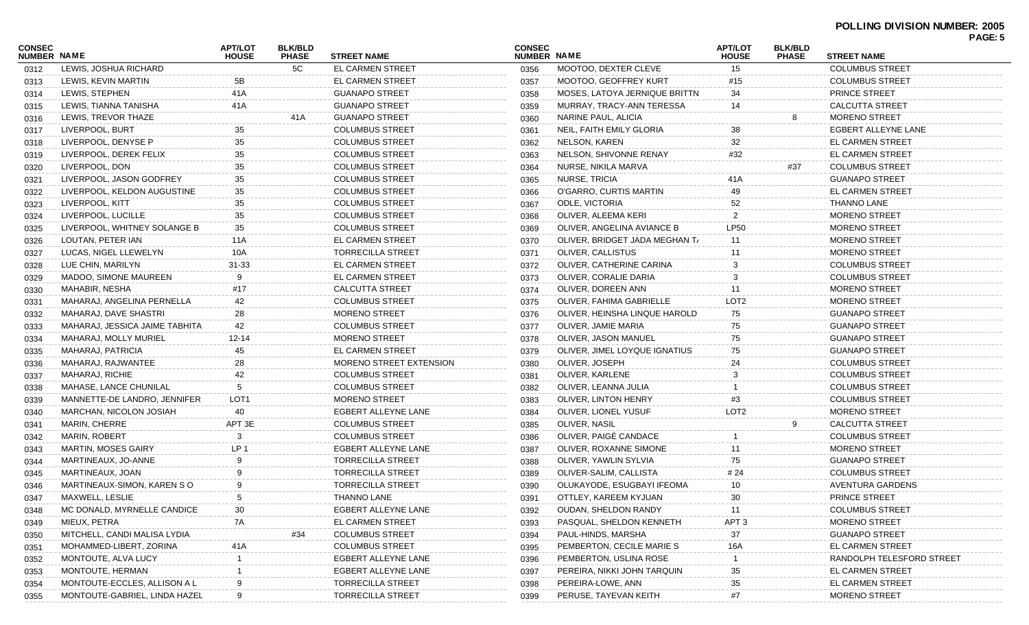| <b>CONSEC</b>      |                                | <b>APT/LOT</b>   | <b>BLK/BLD</b> |                                                | <b>CONSEC</b> |                                | <b>APT/LOT</b>     | <b>BLK/BLD</b> |                                                  | PAGE: 5 |
|--------------------|--------------------------------|------------------|----------------|------------------------------------------------|---------------|--------------------------------|--------------------|----------------|--------------------------------------------------|---------|
| <b>NUMBER NAME</b> |                                | <b>HOUSE</b>     | <b>PHASE</b>   | <b>STREET NAME</b><br><b>EL CARMEN STREET</b>  | NUMBER NAME   | MOOTOO, DEXTER CLEVE           | <b>HOUSE</b><br>15 | <b>PHASE</b>   | <b>STREET NAME</b>                               |         |
| 0312               | LEWIS, JOSHUA RICHARD          |                  | 5C             | <b>EL CARMEN STREET</b>                        | 0356          | <b>MOOTOO, GEOFFREY KURT</b>   |                    |                | <b>COLUMBUS STREET</b><br><b>COLUMBUS STREET</b> |         |
| 0313               | LEWIS, KEVIN MARTIN            | 5B               |                |                                                | 0357          |                                | #15                |                |                                                  |         |
| 0314               | LEWIS, STEPHEN                 | 41A              |                | <b>GUANAPO STREET</b><br><b>GUANAPO STREET</b> | 0358          | MOSES, LATOYA JERNIQUE BRITTN  | 34                 |                | PRINCE STREET                                    |         |
| 0315               | LEWIS, TIANNA TANISHA          | 41A              |                |                                                | 0359          | MURRAY, TRACY-ANN TERESSA      | 14                 |                | <b>CALCUTTA STREET</b>                           |         |
| 0316               | LEWIS, TREVOR THAZE            |                  | 41A            | <b>GUANAPO STREET</b>                          | 0360          | NARINE PAUL, ALICIA            |                    |                | <b>MORENO STREET</b>                             |         |
| 0317               | LIVERPOOL, BURT                | 35               |                | <b>COLUMBUS STREET</b>                         | 0361          | NEIL, FAITH EMILY GLORIA       | 38                 |                | EGBERT ALLEYNE LANE                              |         |
| 0318               | LIVERPOOL, DENYSE P            | 35               |                | <b>COLUMBUS STREET</b>                         | 0362          | NELSON, KAREN                  | 32                 |                | <b>EL CARMEN STREET</b>                          |         |
| 0319               | LIVERPOOL, DEREK FELIX         | 35               |                | <b>COLUMBUS STREET</b>                         | 0363          | NELSON, SHIVONNE RENAY         | #32                |                | EL CARMEN STREET                                 |         |
| 0320               | LIVERPOOL, DON                 | 35               |                | <b>COLUMBUS STREET</b>                         | 0364          | NURSE, NIKILA MARVA            |                    | #37            | <b>COLUMBUS STREET</b>                           |         |
| 0321               | LIVERPOOL, JASON GODFREY       | 35               |                | <b>COLUMBUS STREET</b>                         | 0365          | NURSE, TRICIA                  | 41 A               |                | <b>GUANAPO STREET</b>                            |         |
| 0322               | LIVERPOOL, KELDON AUGUSTINE    | 35               |                | <b>COLUMBUS STREET</b>                         | 0366          | O'GARRO, CURTIS MARTIN         | 49                 |                | <b>EL CARMEN STREET</b>                          |         |
| 0323               | LIVERPOOL, KITT                | 35               |                | <b>COLUMBUS STREET</b>                         | 0367          | <b>ODLE, VICTORIA</b>          | 52                 |                | <b>THANNO LANE</b>                               |         |
| 0324               | LIVERPOOL, LUCILLE             | 35               |                | <b>COLUMBUS STREET</b>                         | 0368          | OLIVER, ALEEMA KERI            | $\overline{2}$     |                | <b>MORENO STREET</b>                             |         |
| 0325               | LIVERPOOL, WHITNEY SOLANGE B   | 35               |                | <b>COLUMBUS STREET</b>                         | 0369          | OLIVER, ANGELINA AVIANCE B     | <b>LP50</b>        |                | <b>MORENO STREET</b>                             |         |
| 0326               | LOUTAN, PETER IAN              | 11A              |                | <b>EL CARMEN STREET</b>                        | 0370          | OLIVER. BRIDGET JADA MEGHAN T/ | 11                 |                | <b>MORENO STREET</b>                             |         |
| 0327               | LUCAS, NIGEL LLEWELYN          | 10A              |                | <b>TORRECILLA STREET</b>                       | 0371          | OLIVER, CALLISTUS              | 11                 |                | <b>MORENO STREET</b>                             |         |
| 0328               | LUE CHIN, MARILYN              | $31 - 33$        |                | <b>EL CARMEN STREET</b>                        | 0372          | OLIVER, CATHERINE CARINA       | 3                  |                | <b>COLUMBUS STREET</b>                           |         |
| 0329               | MADOO, SIMONE MAUREEN          | 9                |                | <b>EL CARMEN STREET</b>                        | 0373          | OLIVER, CORALIE DARIA          | 3                  |                | <b>COLUMBUS STREET</b>                           |         |
| 0330               | MAHABIR, NESHA                 | #17              |                | <b>CALCUTTA STREET</b>                         | 0374          | OLIVER, DOREEN ANN             | 11                 |                | <b>MORENO STREET</b>                             |         |
| 0331               | MAHARAJ, ANGELINA PERNELLA     | 42               |                | <b>COLUMBUS STREET</b>                         | 0375          | OLIVER, FAHIMA GABRIELLE       | LOT <sub>2</sub>   |                | <b>MORENO STREET</b>                             |         |
| 0332               | MAHARAJ, DAVE SHASTRI          | 28               |                | <b>MORENO STREET</b>                           | 0376          | OLIVER, HEINSHA LINQUE HAROLD  | 75                 |                | <b>GUANAPO STREET</b>                            |         |
| 0333               | MAHARAJ, JESSICA JAIME TABHITA | 42               |                | <b>COLUMBUS STREET</b>                         | 0377          | OLIVER, JAMIE MARIA            | 75                 |                | <b>GUANAPO STREET</b>                            |         |
| 0334               | MAHARAJ, MOLLY MURIEL          | 12-14            |                | <b>MORENO STREET</b>                           | 0378          | OLIVER, JASON MANUEL           | 75                 |                | <b>GUANAPO STREET</b>                            |         |
| 0335               | MAHARAJ, PATRICIA              | 45               |                | <b>EL CARMEN STREET</b>                        | 0379          | OLIVER, JIMEL LOYQUE IGNATIUS  | 75                 |                | <b>GUANAPO STREET</b>                            |         |
| 0336               | MAHARAJ, RAJWANTEE             | 28               |                | <b>MORENO STREET EXTENSION</b>                 | 0380          | OLIVER, JOSEPH                 | 24                 |                | <b>COLUMBUS STREET</b>                           |         |
| 0337               | MAHARAJ, RICHIE                | 42               |                | <b>COLUMBUS STREET</b>                         | 0381          | OLIVER, KARLENE                | 3                  |                | <b>COLUMBUS STREET</b>                           |         |
| 0338               | MAHASE, LANCE CHUNILAL         | 5                |                | <b>COLUMBUS STREET</b>                         | 0382          | OLIVER, LEANNA JULIA           |                    |                | <b>COLUMBUS STREET</b>                           |         |
| 0339               | MANNETTE-DE LANDRO, JENNIFER   | LOT <sub>1</sub> |                | <b>MORENO STREET</b>                           | 0383          | OLIVER, LINTON HENRY           | #3                 |                | <b>COLUMBUS STREET</b>                           |         |
| 0340               | MARCHAN, NICOLON JOSIAH        | 40               |                | EGBERT ALLEYNE LANE                            | 0384          | OLIVER, LIONEL YUSUF           | LOT <sub>2</sub>   |                | <b>MORENO STREET</b>                             |         |
| 0341               | MARIN, CHERRE                  | APT 3E           |                | <b>COLUMBUS STREET</b>                         | 0385          | OLIVER, NASIL                  |                    | 9              | <b>CALCUTTA STREET</b>                           |         |
| 0342               | <b>MARIN, ROBERT</b>           | 3                |                | <b>COLUMBUS STREET</b>                         | 0386          | OLIVER, PAIGÉ CANDACE          |                    |                | <b>COLUMBUS STREET</b>                           |         |
| 0343               | <b>MARTIN, MOSES GAIRY</b>     | LP <sub>1</sub>  |                | <b>EGBERT ALLEYNE LANE</b>                     | 0387          | OLIVER, ROXANNE SIMONE         | 11                 |                | <b>MORENO STREET</b>                             |         |
| 0344               | MARTINEAUX, JO-ANNE            | 9                |                | <b>TORRECILLA STREET</b>                       | 0388          | OLIVER, YAWLIN SYLVIA          | 75                 |                | <b>GUANAPO STREET</b>                            |         |
| 0345               | MARTINEAUX, JOAN               | я                |                | <b>TORRECILLA STREET</b>                       | 0389          | OLIVER-SALIM, CALLISTA         | # 24               |                | <b>COLUMBUS STREET</b>                           |         |
| 0346               | MARTINEAUX-SIMON, KAREN SO     | 9                |                | <b>TORRECILLA STREET</b>                       | 0390          | OLUKAYODE, ESUGBAYI IFEOMA     | 10                 |                | <b>AVENTURA GARDENS</b>                          |         |
| 0347               | MAXWELL, LESLIE                | 5                |                | THANNO LANE                                    | 0391          | OTTLEY, KAREEM KYJUAN          | 30                 |                | PRINCE STREET                                    |         |
| 0348               | MC DONALD, MYRNELLE CANDICE    | 30               |                | EGBERT ALLEYNE LANE                            | 0392          | OUDAN, SHELDON RANDY           | 11                 |                | <b>COLUMBUS STREET</b>                           |         |
| 0349               | MIEUX, PETRA                   | 7A               |                | EL CARMEN STREET                               | 0393          | PASQUAL, SHELDON KENNETH       | APT <sub>3</sub>   |                | <b>MORENO STREET</b>                             |         |
| 0350               | MITCHELL, CANDI MALISA LYDIA   |                  | #34            | <b>COLUMBUS STREET</b>                         | 0394          | PAUL-HINDS, MARSHA             | 37                 |                | <b>GUANAPO STREET</b>                            |         |
| 0351               | MOHAMMED-LIBERT, ZORINA        | 41 A             |                | <b>COLUMBUS STREET</b>                         | 0395          | PEMBERTON, CECILE MARIE S      | 16A                |                | EL CARMEN STREET                                 |         |
| 0352               | MONTOUTE, ALVA LUCY            |                  |                | EGBERT ALLEYNE LANE                            | 0396          | PEMBERTON, USLINA ROSE         |                    |                | RANDOLPH TELESFORD STREET                        |         |
| 0353               | MONTOUTE, HERMAN               |                  |                | EGBERT ALLEYNE LANE                            | 0397          | PEREIRA, NIKKI JOHN TARQUIN    | 35                 |                | <b>EL CARMEN STREET</b>                          |         |
| 0354               | MONTOUTE-ECCLES, ALLISON A L   |                  |                | <b>TORRECILLA STREET</b>                       | 0398          | PEREIRA-LOWE, ANN              | 35                 |                | EL CARMEN STREET                                 |         |
|                    | MONTOUTE-GABRIEL, LINDA HAZEL  | 9                |                | <b>TORRECILLA STREET</b>                       | 0399          | PERUSE, TAYEVAN KEITH          | #7                 |                | <b>MORENO STREET</b>                             |         |
| 0355               |                                |                  |                |                                                |               |                                |                    |                |                                                  |         |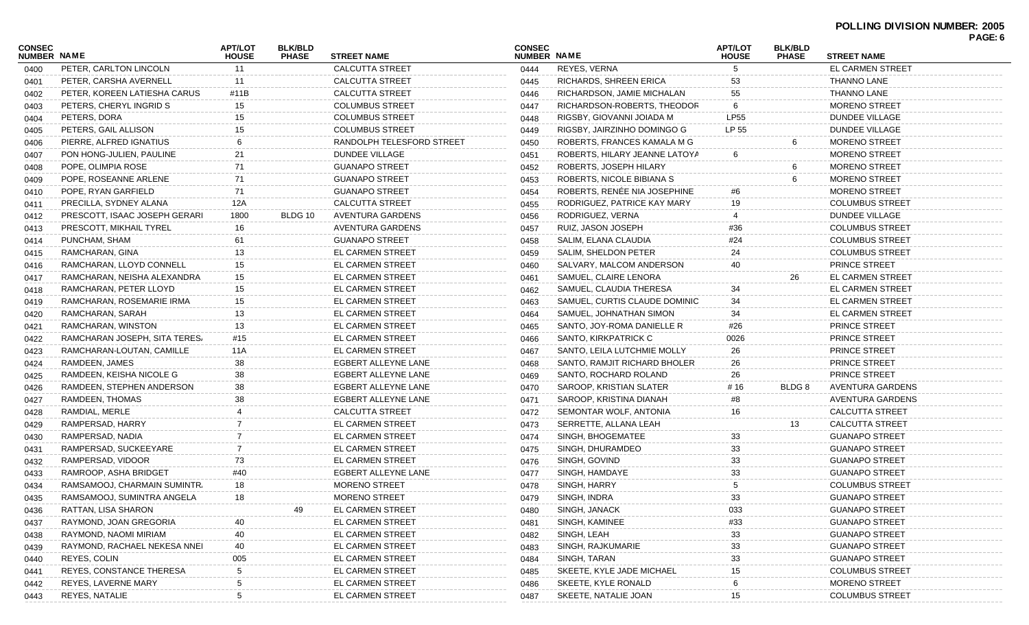| <b>CONSEC</b><br>NUMBER NAME |                               | <b>APT/LOT</b><br><b>HOUSE</b> | <b>BLK/BLD</b><br><b>PHASE</b> | <b>STREET NAME</b>        | <b>CONSEC</b><br>NUMBER NAME |                               | <b>APT/LOT</b><br><b>HOUSE</b> | <b>BLK/BLD</b><br><b>PHASE</b> | <b>STREET NAME</b>      | PAGE: 6 |
|------------------------------|-------------------------------|--------------------------------|--------------------------------|---------------------------|------------------------------|-------------------------------|--------------------------------|--------------------------------|-------------------------|---------|
| 0400                         | PETER, CARLTON LINCOLN        | 11                             |                                | <b>CALCUTTA STREET</b>    | 0444                         | REYES, VERNA                  |                                |                                | <b>EL CARMEN STREET</b> |         |
| 0401                         | PETER, CARSHA AVERNELL        | 11                             |                                | <b>CALCUTTA STREET</b>    | 0445                         | RICHARDS, SHREEN ERICA        | 53                             |                                | <b>THANNO LANE</b>      |         |
| 0402                         | PETER, KOREEN LATIESHA CARUS  | #11B                           |                                | <b>CALCUTTA STREET</b>    | 0446                         | RICHARDSON, JAMIE MICHALAN    | 55                             |                                | <b>THANNO LANE</b>      |         |
| 0403                         | PETERS, CHERYL INGRID S       | 15                             |                                | <b>COLUMBUS STREET</b>    | 0447                         | RICHARDSON-ROBERTS, THEODOR   | 6                              |                                | <b>MORENO STREET</b>    |         |
| 0404                         | PETERS, DORA                  | 15                             |                                | <b>COLUMBUS STREET</b>    | 0448                         | RIGSBY, GIOVANNI JOIADA M     | <b>LP55</b>                    |                                | DUNDEE VILLAGE          |         |
| 0405                         | PETERS, GAIL ALLISON          | 15                             |                                | <b>COLUMBUS STREET</b>    | 0449                         | RIGSBY, JAIRZINHO DOMINGO G   | LP 55                          |                                | <b>DUNDEE VILLAGE</b>   |         |
| 0406                         | PIERRE, ALFRED IGNATIUS       | 6                              |                                | RANDOLPH TELESFORD STREET | 0450                         | ROBERTS, FRANCES KAMALA M G   |                                | 6                              | <b>MORENO STREET</b>    |         |
| 0407                         | PON HONG-JULIEN, PAULINE      | 21                             |                                | <b>DUNDEE VILLAGE</b>     | 0451                         | ROBERTS, HILARY JEANNE LATOYA | 6                              |                                | <b>MORENO STREET</b>    |         |
| 0408                         | POPE, OLIMPIA ROSE            | 71                             |                                | <b>GUANAPO STREET</b>     | 0452                         | ROBERTS, JOSEPH HILARY        |                                |                                | <b>MORENO STREET</b>    |         |
| 0409                         | POPE, ROSEANNE ARLENE         | 71                             |                                | <b>GUANAPO STREET</b>     | 0453                         | ROBERTS, NICOLE BIBIANA S     |                                |                                | MORENO STREET           |         |
| 0410                         | POPE, RYAN GARFIELD           | 71                             |                                | <b>GUANAPO STREET</b>     | 0454                         | ROBERTS, RENÉE NIA JOSEPHINE  | #6                             |                                | <b>MORENO STREET</b>    |         |
| 0411                         | PRECILLA, SYDNEY ALANA        | 12A                            |                                | <b>CALCUTTA STREET</b>    | 0455                         | RODRIGUEZ, PATRICE KAY MARY   | 19                             |                                | <b>COLUMBUS STREET</b>  |         |
| 0412                         | PRESCOTT, ISAAC JOSEPH GERARI | 1800                           | BLDG 10                        | AVENTURA GARDENS          | 0456                         | RODRIGUEZ, VERNA              |                                |                                | <b>DUNDEE VILLAGE</b>   |         |
|                              |                               | 16                             |                                | AVENTURA GARDENS          |                              | RUIZ, JASON JOSEPH            |                                |                                | <b>COLUMBUS STREET</b>  |         |
| 0413                         | PRESCOTT, MIKHAIL TYREL       |                                |                                |                           | 0457                         |                               | #36                            |                                |                         |         |
| 0414                         | PUNCHAM, SHAM                 | 61                             |                                | <b>GUANAPO STREET</b>     | 0458                         | SALIM, ELANA CLAUDIA          | #24                            |                                | <b>COLUMBUS STREET</b>  |         |
| 0415                         | RAMCHARAN, GINA               | 13                             |                                | <b>EL CARMEN STREET</b>   | 0459                         | SALIM, SHELDON PETER          | 24                             |                                | <b>COLUMBUS STREET</b>  |         |
| 0416                         | RAMCHARAN, LLOYD CONNELL      | 15                             |                                | EL CARMEN STREET          | 0460                         | SALVARY, MALCOM ANDERSON      | 40                             |                                | PRINCE STREET           |         |
| 0417                         | RAMCHARAN, NEISHA ALEXANDRA   | 15                             |                                | EL CARMEN STREET          | 0461                         | SAMUEL, CLAIRE LENORA         |                                | 26                             | <b>EL CARMEN STREET</b> |         |
| 0418                         | RAMCHARAN, PETER LLOYD        | 15                             |                                | EL CARMEN STREET          | 0462                         | SAMUEL, CLAUDIA THERESA       | 34                             |                                | <b>EL CARMEN STREET</b> |         |
| 0419                         | RAMCHARAN, ROSEMARIE IRMA     | 15                             |                                | EL CARMEN STREET          | 0463                         | SAMUEL, CURTIS CLAUDE DOMINIC | 34                             |                                | <b>EL CARMEN STREET</b> |         |
| 0420                         | RAMCHARAN, SARAH              | 13                             |                                | EL CARMEN STREET          | 0464                         | SAMUEL, JOHNATHAN SIMON       | 34                             |                                | <b>EL CARMEN STREET</b> |         |
| 0421                         | RAMCHARAN, WINSTON            | 13                             |                                | EL CARMEN STREET          | 0465                         | SANTO, JOY-ROMA DANIELLE R    | #26                            |                                | <b>PRINCE STREET</b>    |         |
| 0422                         | RAMCHARAN JOSEPH, SITA TERES  | #15                            |                                | <b>EL CARMEN STREET</b>   | 0466                         | SANTO, KIRKPATRICK C          | 0026                           |                                | <b>PRINCE STREET</b>    |         |
| 0423                         | RAMCHARAN-LOUTAN, CAMILLE     | 11A                            |                                | EL CARMEN STREET          | 0467                         | SANTO, LEILA LUTCHMIE MOLLY   | 26                             |                                | PRINCE STREET           |         |
| 0424                         | RAMDEEN, JAMES                | 38                             |                                | EGBERT ALLEYNE LANE       | 0468                         | SANTO, RAMJIT RICHARD BHOLER  | 26                             |                                | <b>PRINCE STREET</b>    |         |
| 0425                         | RAMDEEN, KEISHA NICOLE G      | 38                             |                                | EGBERT ALLEYNE LANE       | 0469                         | SANTO, ROCHARD ROLAND         | 26                             |                                | PRINCE STREET           |         |
| 0426                         | RAMDEEN, STEPHEN ANDERSON     | 38                             |                                | EGBERT ALLEYNE LANE       | 0470                         | SAROOP, KRISTIAN SLATER       | #16                            | BLDG 8                         | AVENTURA GARDENS        |         |
| 0427                         | RAMDEEN, THOMAS               | 38                             |                                | EGBERT ALLEYNE LANE       | 0471                         | SAROOP, KRISTINA DIANAH       | #8                             |                                | AVENTURA GARDENS        |         |
| 0428                         | RAMDIAL, MERLE                |                                |                                | <b>CALCUTTA STREET</b>    | 0472                         | SEMONTAR WOLF, ANTONIA        | 16                             |                                | <b>CALCUTTA STREET</b>  |         |
| 0429                         | RAMPERSAD, HARRY              |                                |                                | <b>EL CARMEN STREET</b>   | 0473                         | SERRETTE, ALLANA LEAH         |                                | 13                             | <b>CALCUTTA STREET</b>  |         |
| 0430                         | RAMPERSAD, NADIA              |                                |                                | EL CARMEN STREET          | 0474                         | SINGH, BHOGEMATEE             | 33                             |                                | <b>GUANAPO STREET</b>   |         |
| 0431                         | RAMPERSAD, SUCKEEYARE         |                                |                                | EL CARMEN STREET          | 0475                         | SINGH, DHURAMDEO              | 33                             |                                | <b>GUANAPO STREET</b>   |         |
| 0432                         | RAMPERSAD, VIDOOR             | 73                             |                                | EL CARMEN STREET          | 0476                         | SINGH, GOVIND                 | 33                             |                                | <b>GUANAPO STREET</b>   |         |
| 0433                         | RAMROOP, ASHA BRIDGET         | #40                            |                                | EGBERT ALLEYNE LANE       | 0477                         | SINGH, HAMDAYE                | 33                             |                                | <b>GUANAPO STREET</b>   |         |
| 0434                         | RAMSAMOOJ, CHARMAIN SUMINTR.  | 18                             |                                | <b>MORENO STREET</b>      | 0478                         | SINGH, HARRY                  | 5                              |                                | <b>COLUMBUS STREET</b>  |         |
| 0435                         | RAMSAMOOJ, SUMINTRA ANGELA    | 18                             |                                | <b>MORENO STREET</b>      | 0479                         | SINGH, INDRA                  | 33                             |                                | <b>GUANAPO STREET</b>   |         |
|                              | RATTAN, LISA SHARON           |                                | 49                             | EL CARMEN STREET          | 0480                         | SINGH, JANACK                 | 033                            |                                | <b>GUANAPO STREET</b>   |         |
| 0436                         | RAYMOND, JOAN GREGORIA        | 40                             |                                | EL CARMEN STREET          |                              | SINGH, KAMINEE                | #33                            |                                | <b>GUANAPO STREET</b>   |         |
| 0437                         |                               |                                |                                |                           | 0481                         |                               |                                |                                |                         |         |
| 0438                         | RAYMOND, NAOMI MIRIAM         | 40                             |                                | EL CARMEN STREET          | 0482                         | SINGH, LEAH                   | 33                             |                                | <b>GUANAPO STREET</b>   |         |
| 0439                         | RAYMOND, RACHAEL NEKESA NNEI  | 40                             |                                | EL CARMEN STREET          | 0483                         | SINGH, RAJKUMARIE             | 33                             |                                | <b>GUANAPO STREET</b>   |         |
| 0440                         | REYES, COLIN                  | 005                            |                                | EL CARMEN STREET          | 0484                         | SINGH, TARAN                  | 33                             |                                | <b>GUANAPO STREET</b>   |         |
| 0441                         | REYES, CONSTANCE THERESA      |                                |                                | EL CARMEN STREET          | 0485                         | SKEETE, KYLE JADE MICHAEL     | 15                             |                                | <b>COLUMBUS STREET</b>  |         |
| 0442                         | REYES, LAVERNE MARY           |                                |                                | EL CARMEN STREET          | 0486                         | SKEETE, KYLE RONALD           |                                |                                | <b>MORENO STREET</b>    |         |
| 0443                         | <b>REYES, NATALIE</b>         | 5                              |                                | EL CARMEN STREET          | 0487                         | SKEETE, NATALIE JOAN          | 15                             |                                | <b>COLUMBUS STREET</b>  |         |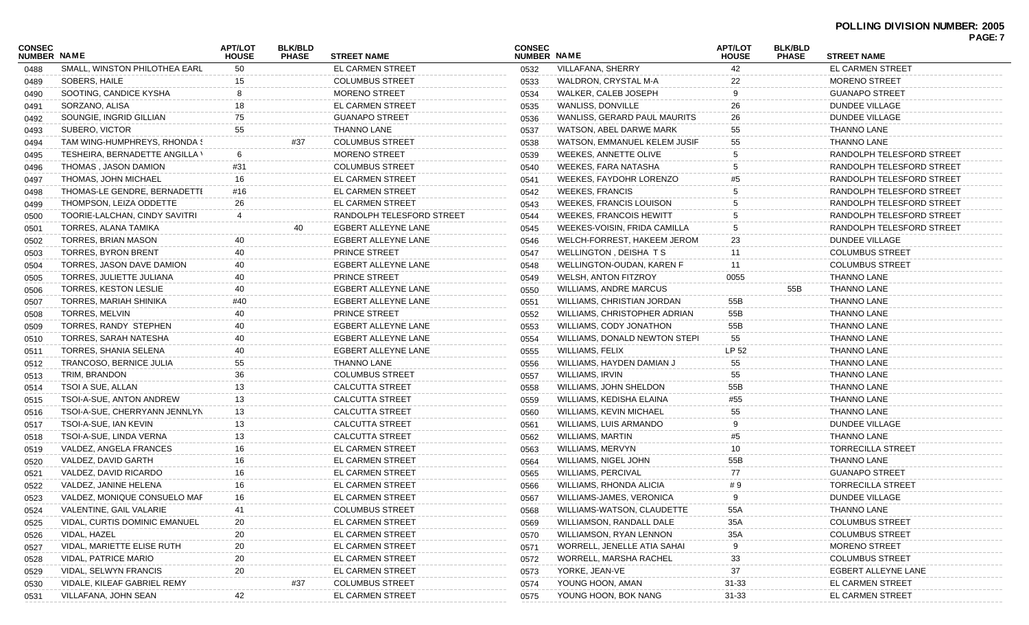| <b>CONSEC</b> |                                | APT/LOT      | <b>BLK/BLD</b> |                           | <b>CONSEC</b> |                                | <b>APT/LOT</b> | <b>BLK/BLD</b> |                           | <b>PAGE: 7</b> |
|---------------|--------------------------------|--------------|----------------|---------------------------|---------------|--------------------------------|----------------|----------------|---------------------------|----------------|
| NUMBER NAME   |                                | <b>HOUSE</b> | <b>PHASE</b>   | <b>STREET NAME</b>        | NUMBER NAME   |                                | <b>HOUSE</b>   | <b>PHASE</b>   | <b>STREET NAME</b>        |                |
| 0488          | SMALL, WINSTON PHILOTHEA EARL  | 50           |                | <b>EL CARMEN STREET</b>   | 0532          | VILLAFANA, SHERRY              | 42             |                | <b>EL CARMEN STREET</b>   |                |
| 0489          | SOBERS, HAILE                  | 15           |                | <b>COLUMBUS STREET</b>    | 0533          | WALDRON, CRYSTAL M-A           | 22             |                | <b>MORENO STREET</b>      |                |
| 0490          | SOOTING, CANDICE KYSHA         | 8            |                | <b>MORENO STREET</b>      | 0534          | WALKER, CALEB JOSEPH           | 9              |                | <b>GUANAPO STREET</b>     |                |
| 0491          | SORZANO, ALISA                 | 18           |                | <b>EL CARMEN STREET</b>   | 0535          | WANLISS, DONVILLE              | 26             |                | <b>DUNDEE VILLAGE</b>     |                |
| 0492          | SOUNGIE, INGRID GILLIAN        | 75           |                | <b>GUANAPO STREET</b>     | 0536          | WANLISS, GERARD PAUL MAURITS   | 26             |                | <b>DUNDEE VILLAGE</b>     |                |
| 0493          | SUBERO, VICTOR                 | 55           |                | THANNO LANE               | 0537          | WATSON, ABEL DARWE MARK        | 55             |                | <b>THANNO LANE</b>        |                |
| 0494          | TAM WING-HUMPHREYS, RHONDA S   |              | #37            | <b>COLUMBUS STREET</b>    | 0538          | WATSON, EMMANUEL KELEM JUSIF   | 55             |                | <b>THANNO LANE</b>        |                |
| 0495          | TESHEIRA, BERNADETTE ANGILLA \ | 6            |                | <b>MORENO STREET</b>      | 0539          | WEEKES, ANNETTE OLIVE          |                |                | RANDOLPH TELESFORD STREET |                |
| 0496          | THOMAS, JASON DAMION           | #31          |                | <b>COLUMBUS STREET</b>    | 0540          | WEEKES, FARA NATASHA           |                |                | RANDOLPH TELESFORD STREET |                |
| 0497          | THOMAS, JOHN MICHAEL           | 16           |                | <b>EL CARMEN STREET</b>   | 0541          | WEEKES, FAYDOHR LORENZO        |                |                | RANDOLPH TELESFORD STREET |                |
| 0498          | THOMAS-LE GENDRE, BERNADETTI   | #16          |                | EL CARMEN STREET          | 0542          | <b>WEEKES, FRANCIS</b>         |                |                | RANDOLPH TELESFORD STREET |                |
| 0499          | THOMPSON, LEIZA ODDETTE        | 26           |                | EL CARMEN STREET          | 0543          | <b>WEEKES, FRANCIS LOUISON</b> |                |                | RANDOLPH TELESFORD STREET |                |
| 0500          | TOORIE-LALCHAN, CINDY SAVITRI  | 4            |                | RANDOLPH TELESFORD STREET | 0544          | WEEKES, FRANCOIS HEWITT        |                |                | RANDOLPH TELESFORD STREET |                |
| 0501          | TORRES, ALANA TAMIKA           |              | 40             | EGBERT ALLEYNE LANE       | 0545          | WEEKES-VOISIN, FRIDA CAMILLA   |                |                | RANDOLPH TELESFORD STREET |                |
| 0502          | TORRES, BRIAN MASON            | 40           |                | EGBERT ALLEYNE LANE       | 0546          | WELCH-FORREST, HAKEEM JEROM    | 23             |                | <b>DUNDEE VILLAGE</b>     |                |
| 0503          | <b>TORRES, BYRON BRENT</b>     | 40           |                | PRINCE STREET             | 0547          | WELLINGTON, DEISHA TS          | 11             |                | <b>COLUMBUS STREET</b>    |                |
| 0504          | TORRES, JASON DAVE DAMION      | 40           |                | EGBERT ALLEYNE LANE       | 0548          | WELLINGTON-OUDAN, KAREN F      | 11             |                | <b>COLUMBUS STREET</b>    |                |
| 0505          | TORRES, JULIETTE JULIANA       | 40           |                | <b>PRINCE STREET</b>      | 0549          | <b>WELSH, ANTON FITZROY</b>    | 0055           |                | <b>THANNO LANE</b>        |                |
| 0506          | <b>TORRES, KESTON LESLIE</b>   | 40           |                | EGBERT ALLEYNE LANE       | 0550          | <b>WILLIAMS, ANDRE MARCUS</b>  |                | 55B            | <b>THANNO LANE</b>        |                |
| 0507          | TORRES, MARIAH SHINIKA         | #40          |                | EGBERT ALLEYNE LANE       | 0551          | WILLIAMS, CHRISTIAN JORDAN     | 55B            |                | <b>THANNO LANE</b>        |                |
| 0508          | TORRES, MELVIN                 | 40           |                | PRINCE STREET             | 0552          | WILLIAMS, CHRISTOPHER ADRIAN   | 55B            |                | <b>THANNO LANE</b>        |                |
| 0509          | TORRES, RANDY STEPHEN          | 40           |                | EGBERT ALLEYNE LANE       | 0553          | WILLIAMS, CODY JONATHON        | 55B            |                | <b>THANNO LANE</b>        |                |
| 0510          | TORRES, SARAH NATESHA          | 40           |                | EGBERT ALLEYNE LANE       | 0554          | WILLIAMS, DONALD NEWTON STEPI  | 55             |                | <b>THANNO LANE</b>        |                |
| 0511          | TORRES, SHANIA SELENA          | 40           |                | EGBERT ALLEYNE LANE       | 0555          | <b>WILLIAMS, FELIX</b>         | LP 52          |                | <b>THANNO LANE</b>        |                |
| 0512          | TRANCOSO, BERNICE JULIA        | 55           |                | THANNO LANE               | 0556          | WILLIAMS, HAYDEN DAMIAN J      | 55             |                | <b>THANNO LANE</b>        |                |
| 0513          | TRIM, BRANDON                  | 36           |                | <b>COLUMBUS STREET</b>    | 0557          | WILLIAMS, IRVIN                | 55             |                | <b>THANNO LANE</b>        |                |
| 0514          | TSOI A SUE, ALLAN              | 13           |                | <b>CALCUTTA STREET</b>    | 0558          | WILLIAMS, JOHN SHELDON         | 55B            |                | <b>THANNO LANE</b>        |                |
| 0515          | TSOI-A-SUE, ANTON ANDREW       | 13           |                | <b>CALCUTTA STREET</b>    | 0559          | WILLIAMS, KEDISHA ELAINA       | #55            |                | <b>THANNO LANE</b>        |                |
| 0516          | TSOI-A-SUE, CHERRYANN JENNLYN  | 13           |                | <b>CALCUTTA STREET</b>    | 0560          | WILLIAMS, KEVIN MICHAEL        | 55             |                | <b>THANNO LANE</b>        |                |
| 0517          | TSOI-A-SUE, IAN KEVIN          | 13           |                | <b>CALCUTTA STREET</b>    | 0561          | WILLIAMS, LUIS ARMANDO         | <b>g</b>       |                | <b>DUNDEE VILLAGE</b>     |                |
| 0518          | TSOI-A-SUE, LINDA VERNA        | 13           |                | <b>CALCUTTA STREET</b>    | 0562          | WILLIAMS, MARTIN               | #5             |                | <b>THANNO LANE</b>        |                |
| 0519          | VALDEZ, ANGELA FRANCES         | 16           |                | <b>EL CARMEN STREET</b>   | 0563          | WILLIAMS, MERVYN               | 10             |                | <b>TORRECILLA STREET</b>  |                |
| 0520          | VALDEZ, DAVID GARTH            | 16           |                | EL CARMEN STREET          | 0564          | WILLIAMS, NIGEL JOHN           | 55B            |                | <b>THANNO LANE</b>        |                |
|               | VALDEZ, DAVID RICARDO          | 16           |                | EL CARMEN STREET          | 0565          | WILLIAMS, PERCIVAL             | 77             |                | <b>GUANAPO STREET</b>     |                |
| 0521          | VALDEZ, JANINE HELENA          | 16           |                | EL CARMEN STREET          | 0566          | WILLIAMS, RHONDA ALICIA        | # 9            |                | <b>TORRECILLA STREET</b>  |                |
| 0522          | VALDEZ, MONIQUE CONSUELO MAF   | 16           |                | <b>EL CARMEN STREET</b>   |               | WILLIAMS-JAMES, VERONICA       | 9              |                | <b>DUNDEE VILLAGE</b>     |                |
| 0523          | VALENTINE, GAIL VALARIE        |              |                |                           | 0567          |                                | 55A            |                | <b>THANNO LANE</b>        |                |
| 0524          |                                | 41           |                | <b>COLUMBUS STREET</b>    | 0568          | WILLIAMS-WATSON, CLAUDETTE     |                |                | <b>COLUMBUS STREET</b>    |                |
| 0525          | VIDAL, CURTIS DOMINIC EMANUEL  | 20           |                | EL CARMEN STREET          | 0569          | WILLIAMSON, RANDALL DALE       | 35A            |                |                           |                |
| 0526          | VIDAL, HAZEL                   | 20           |                | <b>EL CARMEN STREET</b>   | 0570          | WILLIAMSON, RYAN LENNON        | 35A            |                | <b>COLUMBUS STREET</b>    |                |
| 0527          | VIDAL, MARIETTE ELISE RUTH     | 20           |                | <b>EL CARMEN STREET</b>   | 0571          | WORRELL, JENELLE ATIA SAHAI    | -9             |                | <b>MORENO STREET</b>      |                |
| 0528          | <b>VIDAL, PATRICE MARIO</b>    | 20           |                | <b>EL CARMEN STREET</b>   | 0572          | WORRELL, MARSHA RACHEL         | 33             |                | <b>COLUMBUS STREET</b>    |                |
| 0529          | VIDAL, SELWYN FRANCIS          | 20           |                | <b>EL CARMEN STREET</b>   | 0573          | YORKE, JEAN-VE                 | 37             |                | EGBERT ALLEYNE LANE       |                |
| 0530          | VIDALE, KILEAF GABRIEL REMY    |              | #37            | <b>COLUMBUS STREET</b>    | 0574          | YOUNG HOON, AMAN               | $31 - 33$      |                | EL CARMEN STREET          |                |
| 0531          | VILLAFANA, JOHN SEAN           | 42           |                | EL CARMEN STREET          | 0575          | YOUNG HOON, BOK NANG           | 31-33          |                | EL CARMEN STREET          |                |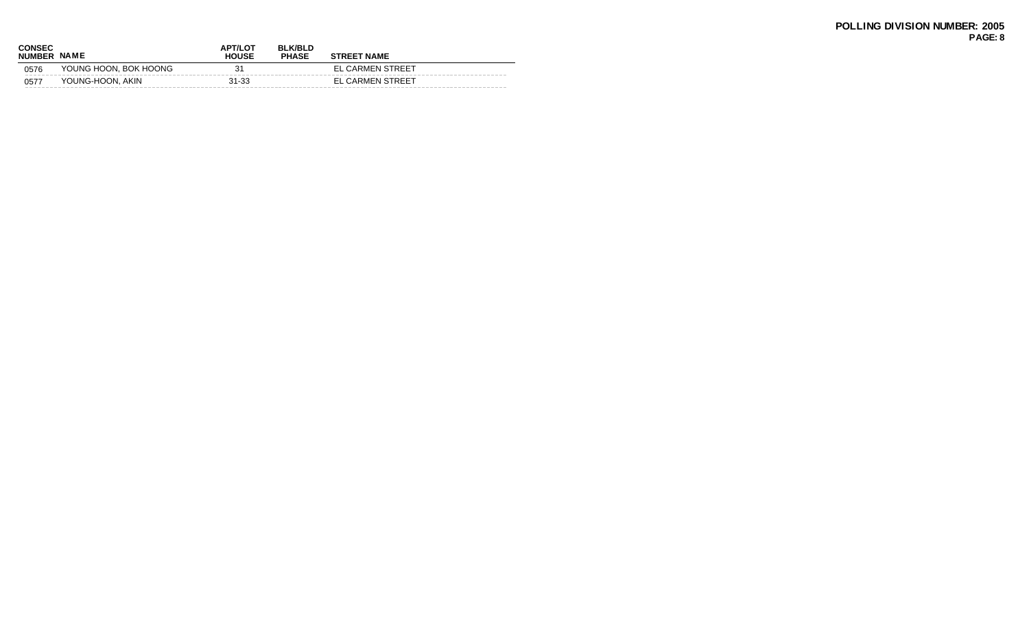| CONSEC<br><b>NUMBER</b> | <b>NAME</b>           | <b>APT/LOT</b><br><b>HOUSE</b> | <b>BLK/BLD</b><br><b>PHASE</b> | <b>STREET NAME</b> |
|-------------------------|-----------------------|--------------------------------|--------------------------------|--------------------|
| 0576                    | YOUNG HOON, BOK HOONG | 31                             |                                | EL CARMEN STREET   |
| 0577                    | YOUNG-HOON, AKIN      | $31 - 33$                      |                                | EL CARMEN STREET   |